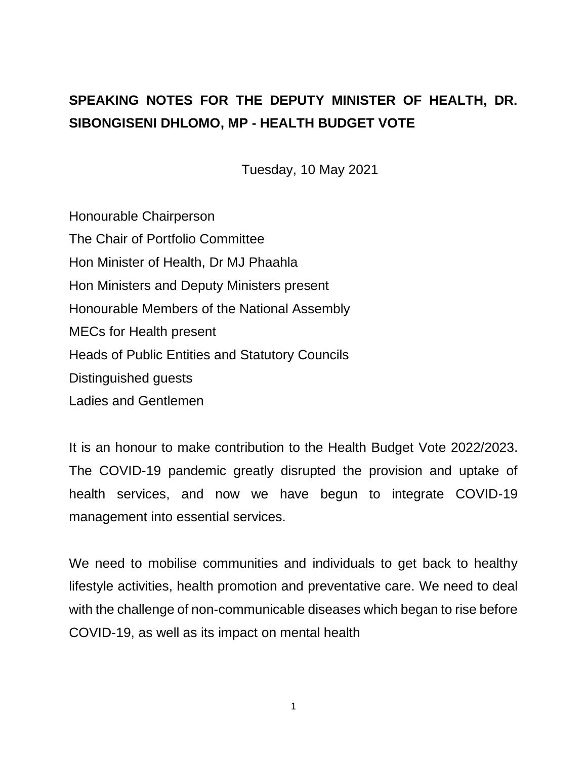# **SPEAKING NOTES FOR THE DEPUTY MINISTER OF HEALTH, DR. SIBONGISENI DHLOMO, MP - HEALTH BUDGET VOTE**

Tuesday, 10 May 2021

Honourable Chairperson The Chair of Portfolio Committee Hon Minister of Health, Dr MJ Phaahla Hon Ministers and Deputy Ministers present Honourable Members of the National Assembly MECs for Health present Heads of Public Entities and Statutory Councils Distinguished guests Ladies and Gentlemen

It is an honour to make contribution to the Health Budget Vote 2022/2023. The COVID-19 pandemic greatly disrupted the provision and uptake of health services, and now we have begun to integrate COVID-19 management into essential services.

We need to mobilise communities and individuals to get back to healthy lifestyle activities, health promotion and preventative care. We need to deal with the challenge of non-communicable diseases which began to rise before COVID-19, as well as its impact on mental health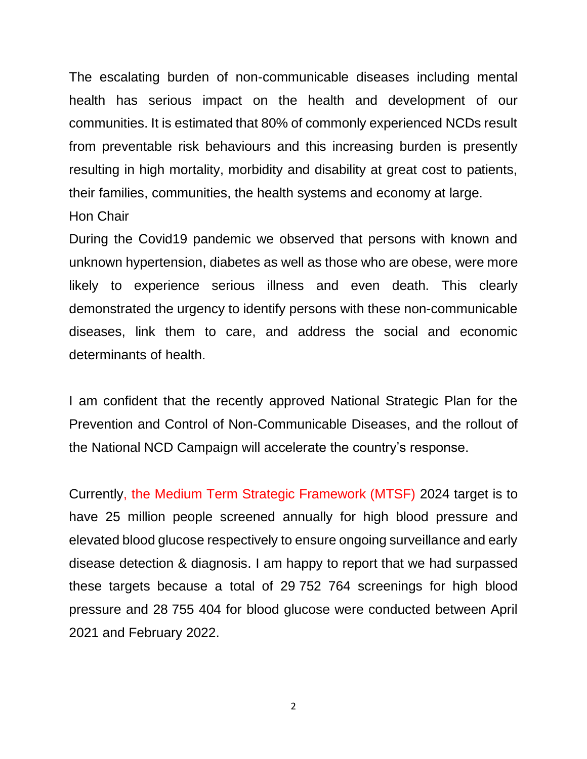The escalating burden of non-communicable diseases including mental health has serious impact on the health and development of our communities. It is estimated that 80% of commonly experienced NCDs result from preventable risk behaviours and this increasing burden is presently resulting in high mortality, morbidity and disability at great cost to patients, their families, communities, the health systems and economy at large. Hon Chair

During the Covid19 pandemic we observed that persons with known and unknown hypertension, diabetes as well as those who are obese, were more likely to experience serious illness and even death. This clearly demonstrated the urgency to identify persons with these non-communicable diseases, link them to care, and address the social and economic determinants of health.

I am confident that the recently approved National Strategic Plan for the Prevention and Control of Non-Communicable Diseases, and the rollout of the National NCD Campaign will accelerate the country's response.

Currently, the Medium Term Strategic Framework (MTSF) 2024 target is to have 25 million people screened annually for high blood pressure and elevated blood glucose respectively to ensure ongoing surveillance and early disease detection & diagnosis. I am happy to report that we had surpassed these targets because a total of 29 752 764 screenings for high blood pressure and 28 755 404 for blood glucose were conducted between April 2021 and February 2022.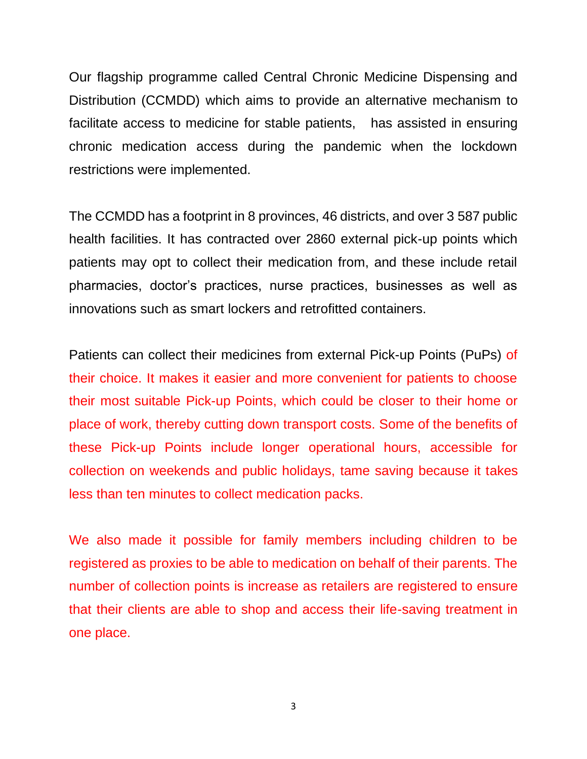Our flagship programme called Central Chronic Medicine Dispensing and Distribution (CCMDD) which aims to provide an alternative mechanism to facilitate access to medicine for stable patients,has assisted in ensuring chronic medication access during the pandemic when the lockdown restrictions were implemented.

The CCMDD has a footprint in 8 provinces, 46 districts, and over 3 587 public health facilities. It has contracted over 2860 external pick-up points which patients may opt to collect their medication from, and these include retail pharmacies, doctor's practices, nurse practices, businesses as well as innovations such as smart lockers and retrofitted containers.

Patients can collect their medicines from external Pick-up Points (PuPs) of their choice. It makes it easier and more convenient for patients to choose their most suitable Pick-up Points, which could be closer to their home or place of work, thereby cutting down transport costs. Some of the benefits of these Pick-up Points include longer operational hours, accessible for collection on weekends and public holidays, tame saving because it takes less than ten minutes to collect medication packs.

We also made it possible for family members including children to be registered as proxies to be able to medication on behalf of their parents. The number of collection points is increase as retailers are registered to ensure that their clients are able to shop and access their life-saving treatment in one place.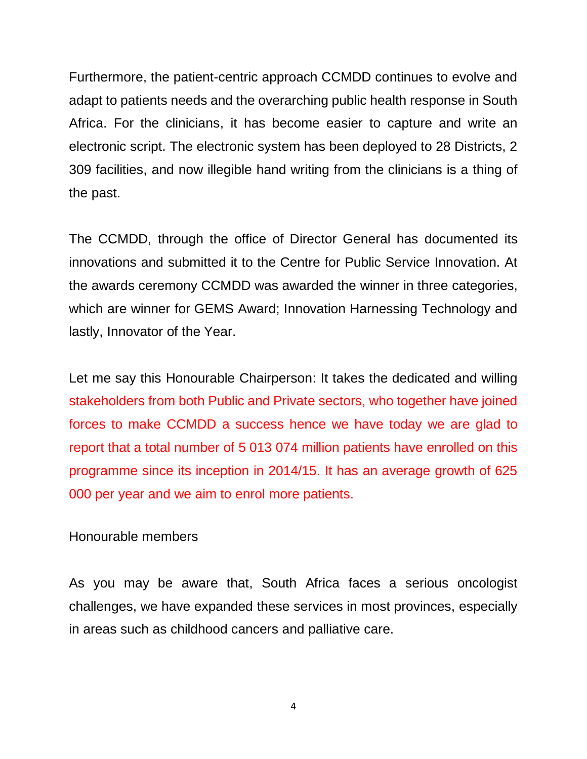Furthermore, the patient-centric approach CCMDD continues to evolve and adapt to patients needs and the overarching public health response in South Africa. For the clinicians, it has become easier to capture and write an electronic script. The electronic system has been deployed to 28 Districts, 2 309 facilities, and now illegible hand writing from the clinicians is a thing of the past.

The CCMDD, through the office of Director General has documented its innovations and submitted it to the Centre for Public Service Innovation. At the awards ceremony CCMDD was awarded the winner in three categories, which are winner for GEMS Award; Innovation Harnessing Technology and lastly, Innovator of the Year.

Let me say this Honourable Chairperson: It takes the dedicated and willing stakeholders from both Public and Private sectors, who together have joined forces to make CCMDD a success hence we have today we are glad to report that a total number of 5 013 074 million patients have enrolled on this programme since its inception in 2014/15. It has an average growth of 625 000 per year and we aim to enrol more patients.

Honourable members

As you may be aware that, South Africa faces a serious oncologist challenges, we have expanded these services in most provinces, especially in areas such as childhood cancers and palliative care.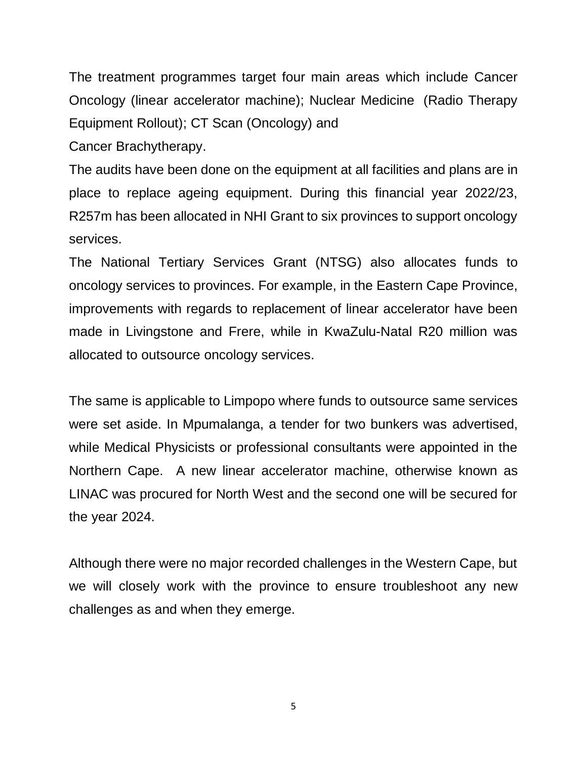The treatment programmes target four main areas which include Cancer Oncology (linear accelerator machine); Nuclear Medicine (Radio Therapy Equipment Rollout); CT Scan (Oncology) and

Cancer Brachytherapy.

The audits have been done on the equipment at all facilities and plans are in place to replace ageing equipment. During this financial year 2022/23, R257m has been allocated in NHI Grant to six provinces to support oncology services.

The National Tertiary Services Grant (NTSG) also allocates funds to oncology services to provinces. For example, in the Eastern Cape Province, improvements with regards to replacement of linear accelerator have been made in Livingstone and Frere, while in KwaZulu-Natal R20 million was allocated to outsource oncology services.

The same is applicable to Limpopo where funds to outsource same services were set aside. In Mpumalanga, a tender for two bunkers was advertised, while Medical Physicists or professional consultants were appointed in the Northern Cape. A new linear accelerator machine, otherwise known as LINAC was procured for North West and the second one will be secured for the year 2024.

Although there were no major recorded challenges in the Western Cape, but we will closely work with the province to ensure troubleshoot any new challenges as and when they emerge.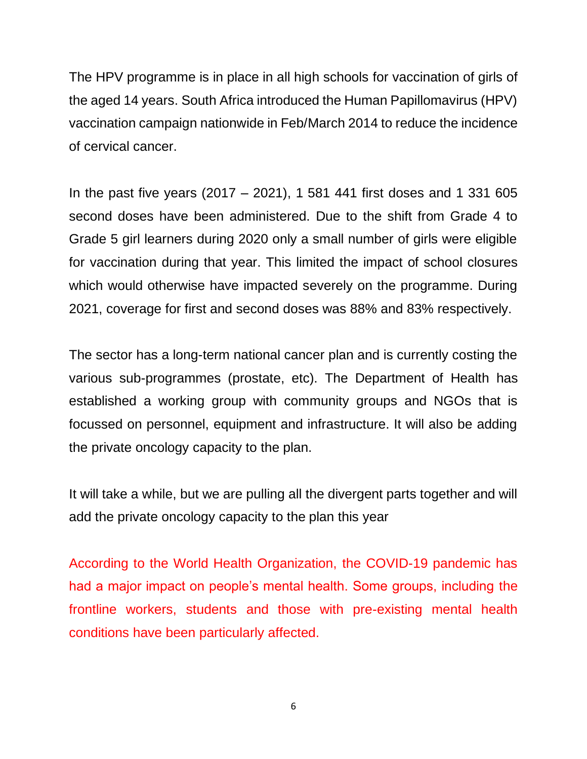The HPV programme is in place in all high schools for vaccination of girls of the aged 14 years. South Africa introduced the Human Papillomavirus (HPV) vaccination campaign nationwide in Feb/March 2014 to reduce the incidence of cervical cancer.

In the past five years (2017 – 2021), 1 581 441 first doses and 1 331 605 second doses have been administered. Due to the shift from Grade 4 to Grade 5 girl learners during 2020 only a small number of girls were eligible for vaccination during that year. This limited the impact of school closures which would otherwise have impacted severely on the programme. During 2021, coverage for first and second doses was 88% and 83% respectively.

The sector has a long-term national cancer plan and is currently costing the various sub-programmes (prostate, etc). The Department of Health has established a working group with community groups and NGOs that is focussed on personnel, equipment and infrastructure. It will also be adding the private oncology capacity to the plan.

It will take a while, but we are pulling all the divergent parts together and will add the private oncology capacity to the plan this year

According to the World Health Organization, the COVID-19 pandemic has had a major impact on people's mental health. Some groups, including the frontline workers, students and those with pre-existing mental health conditions have been particularly affected.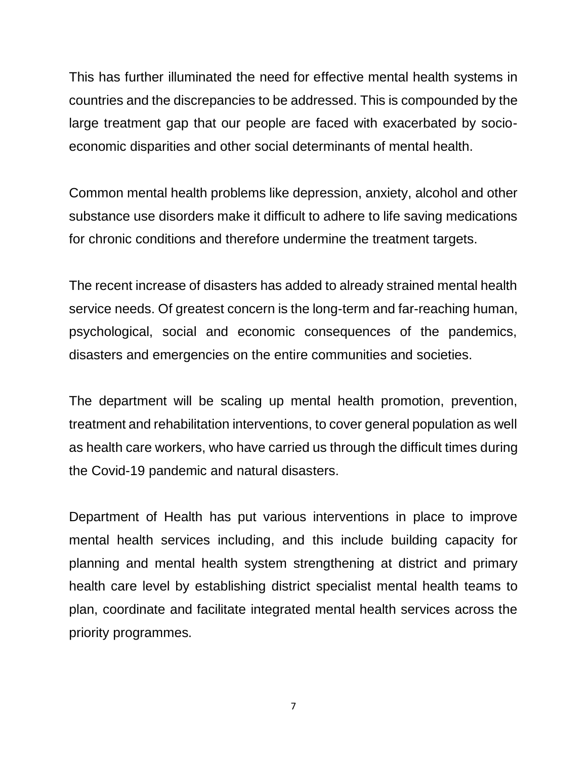This has further illuminated the need for effective mental health systems in countries and the discrepancies to be addressed. This is compounded by the large treatment gap that our people are faced with exacerbated by socioeconomic disparities and other social determinants of mental health.

Common mental health problems like depression, anxiety, alcohol and other substance use disorders make it difficult to adhere to life saving medications for chronic conditions and therefore undermine the treatment targets.

The recent increase of disasters has added to already strained mental health service needs. Of greatest concern is the long-term and far-reaching human, psychological, social and economic consequences of the pandemics, disasters and emergencies on the entire communities and societies.

The department will be scaling up mental health promotion, prevention, treatment and rehabilitation interventions, to cover general population as well as health care workers, who have carried us through the difficult times during the Covid-19 pandemic and natural disasters.

Department of Health has put various interventions in place to improve mental health services including, and this include building capacity for planning and mental health system strengthening at district and primary health care level by establishing district specialist mental health teams to plan, coordinate and facilitate integrated mental health services across the priority programmes.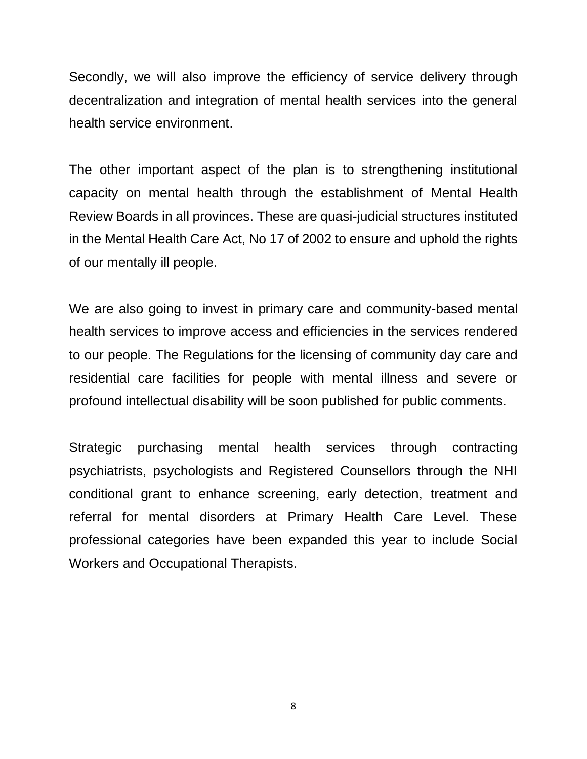Secondly, we will also improve the efficiency of service delivery through decentralization and integration of mental health services into the general health service environment.

The other important aspect of the plan is to strengthening institutional capacity on mental health through the establishment of Mental Health Review Boards in all provinces. These are quasi-judicial structures instituted in the Mental Health Care Act, No 17 of 2002 to ensure and uphold the rights of our mentally ill people.

We are also going to invest in primary care and community-based mental health services to improve access and efficiencies in the services rendered to our people. The Regulations for the licensing of community day care and residential care facilities for people with mental illness and severe or profound intellectual disability will be soon published for public comments.

Strategic purchasing mental health services through contracting psychiatrists, psychologists and Registered Counsellors through the NHI conditional grant to enhance screening, early detection, treatment and referral for mental disorders at Primary Health Care Level. These professional categories have been expanded this year to include Social Workers and Occupational Therapists.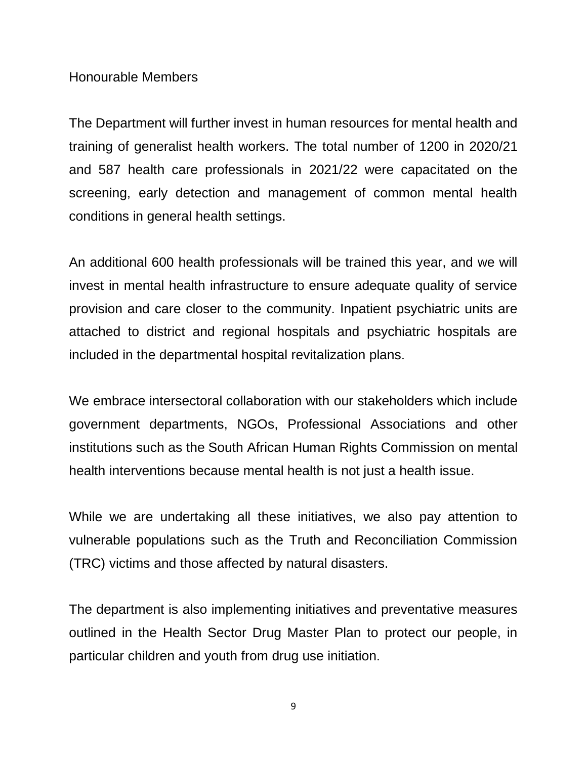#### Honourable Members

The Department will further invest in human resources for mental health and training of generalist health workers. The total number of 1200 in 2020/21 and 587 health care professionals in 2021/22 were capacitated on the screening, early detection and management of common mental health conditions in general health settings.

An additional 600 health professionals will be trained this year, and we will invest in mental health infrastructure to ensure adequate quality of service provision and care closer to the community. Inpatient psychiatric units are attached to district and regional hospitals and psychiatric hospitals are included in the departmental hospital revitalization plans.

We embrace intersectoral collaboration with our stakeholders which include government departments, NGOs, Professional Associations and other institutions such as the South African Human Rights Commission on mental health interventions because mental health is not just a health issue.

While we are undertaking all these initiatives, we also pay attention to vulnerable populations such as the Truth and Reconciliation Commission (TRC) victims and those affected by natural disasters.

The department is also implementing initiatives and preventative measures outlined in the Health Sector Drug Master Plan to protect our people, in particular children and youth from drug use initiation.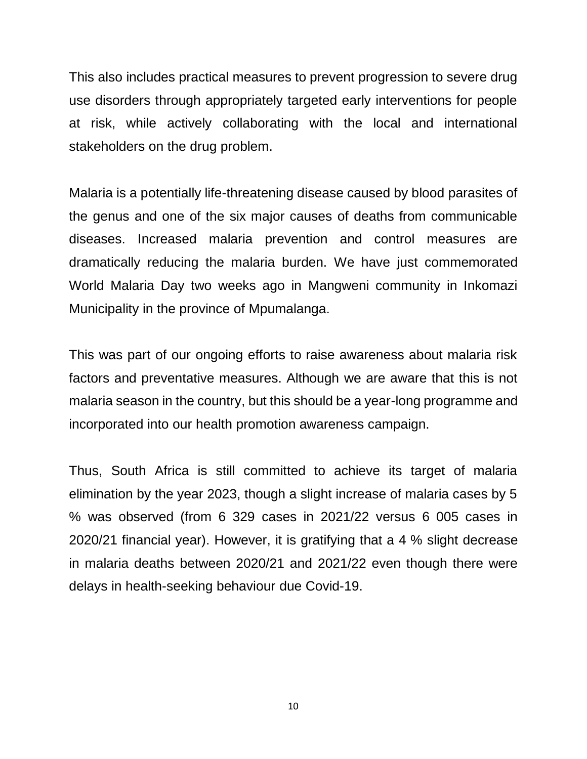This also includes practical measures to prevent progression to severe drug use disorders through appropriately targeted early interventions for people at risk, while actively collaborating with the local and international stakeholders on the drug problem.

Malaria is a potentially life-threatening disease caused by blood parasites of the genus and one of the six major causes of deaths from communicable diseases. Increased malaria prevention and control measures are dramatically reducing the malaria burden. We have just commemorated World Malaria Day two weeks ago in Mangweni community in Inkomazi Municipality in the province of Mpumalanga.

This was part of our ongoing efforts to raise awareness about malaria risk factors and preventative measures. Although we are aware that this is not malaria season in the country, but this should be a year-long programme and incorporated into our health promotion awareness campaign.

Thus, South Africa is still committed to achieve its target of malaria elimination by the year 2023, though a slight increase of malaria cases by 5 % was observed (from 6 329 cases in 2021/22 versus 6 005 cases in 2020/21 financial year). However, it is gratifying that a 4 % slight decrease in malaria deaths between 2020/21 and 2021/22 even though there were delays in health-seeking behaviour due Covid-19.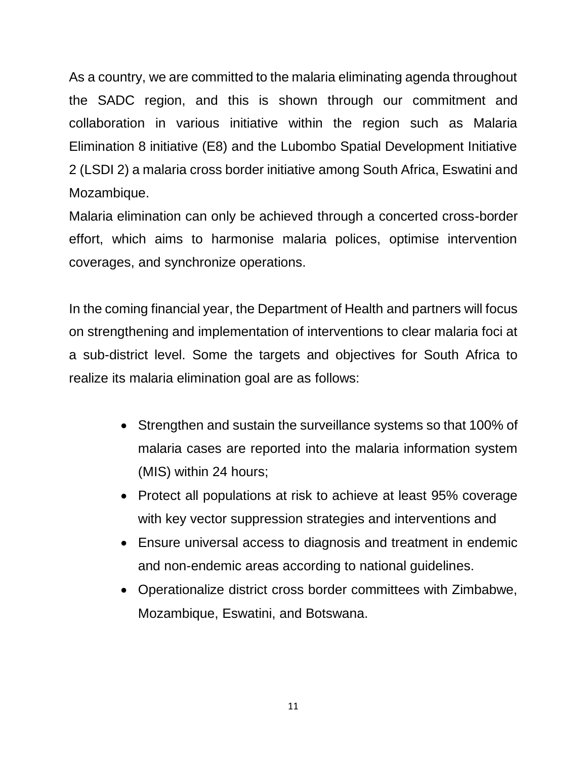As a country, we are committed to the malaria eliminating agenda throughout the SADC region, and this is shown through our commitment and collaboration in various initiative within the region such as Malaria Elimination 8 initiative (E8) and the Lubombo Spatial Development Initiative 2 (LSDI 2) a malaria cross border initiative among South Africa, Eswatini and Mozambique.

Malaria elimination can only be achieved through a concerted cross-border effort, which aims to harmonise malaria polices, optimise intervention coverages, and synchronize operations.

In the coming financial year, the Department of Health and partners will focus on strengthening and implementation of interventions to clear malaria foci at a sub-district level. Some the targets and objectives for South Africa to realize its malaria elimination goal are as follows:

- Strengthen and sustain the surveillance systems so that 100% of malaria cases are reported into the malaria information system (MIS) within 24 hours;
- Protect all populations at risk to achieve at least 95% coverage with key vector suppression strategies and interventions and
- Ensure universal access to diagnosis and treatment in endemic and non-endemic areas according to national guidelines.
- Operationalize district cross border committees with Zimbabwe, Mozambique, Eswatini, and Botswana.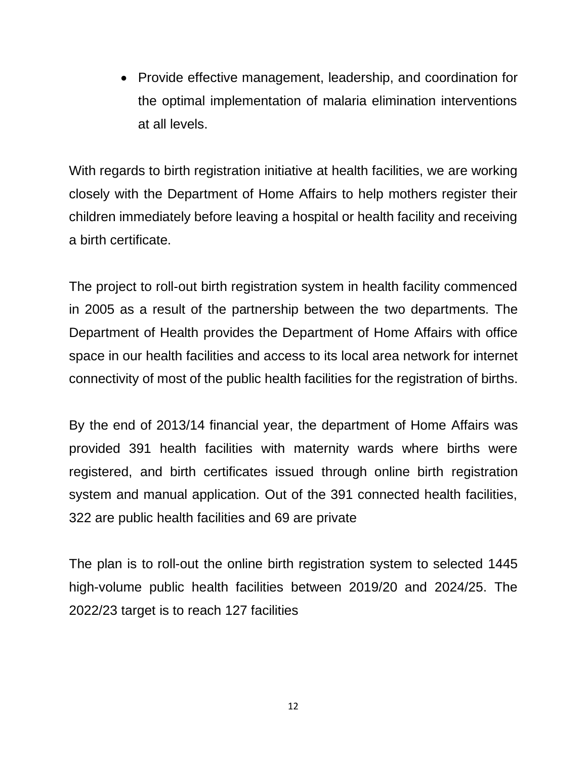• Provide effective management, leadership, and coordination for the optimal implementation of malaria elimination interventions at all levels.

With regards to birth registration initiative at health facilities, we are working closely with the Department of Home Affairs to help mothers register their children immediately before leaving a hospital or health facility and receiving a birth certificate.

The project to roll-out birth registration system in health facility commenced in 2005 as a result of the partnership between the two departments. The Department of Health provides the Department of Home Affairs with office space in our health facilities and access to its local area network for internet connectivity of most of the public health facilities for the registration of births.

By the end of 2013/14 financial year, the department of Home Affairs was provided 391 health facilities with maternity wards where births were registered, and birth certificates issued through online birth registration system and manual application. Out of the 391 connected health facilities, 322 are public health facilities and 69 are private

The plan is to roll-out the online birth registration system to selected 1445 high-volume public health facilities between 2019/20 and 2024/25. The 2022/23 target is to reach 127 facilities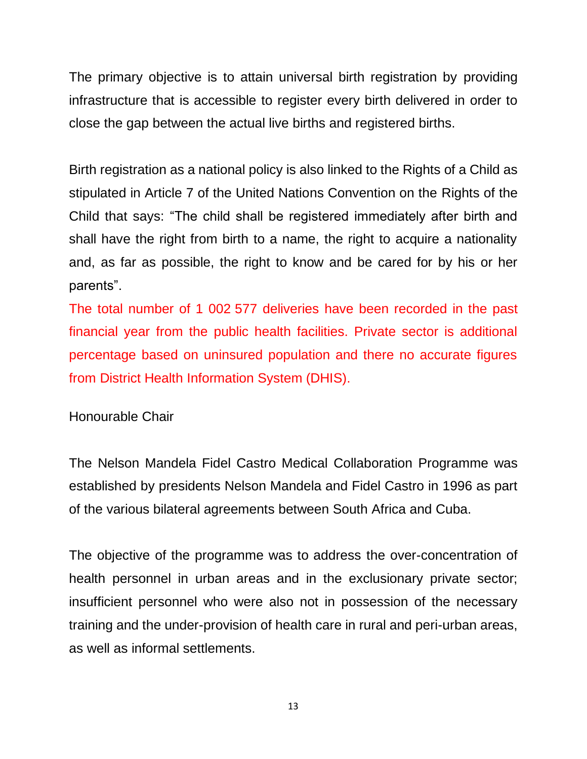The primary objective is to attain universal birth registration by providing infrastructure that is accessible to register every birth delivered in order to close the gap between the actual live births and registered births.

Birth registration as a national policy is also linked to the Rights of a Child as stipulated in Article 7 of the United Nations Convention on the Rights of the Child that says: "The child shall be registered immediately after birth and shall have the right from birth to a name, the right to acquire a nationality and, as far as possible, the right to know and be cared for by his or her parents".

The total number of 1 002 577 deliveries have been recorded in the past financial year from the public health facilities. Private sector is additional percentage based on uninsured population and there no accurate figures from District Health Information System (DHIS).

#### Honourable Chair

The Nelson Mandela Fidel Castro Medical Collaboration Programme was established by presidents Nelson Mandela and Fidel Castro in 1996 as part of the various bilateral agreements between South Africa and Cuba.

The objective of the programme was to address the over-concentration of health personnel in urban areas and in the exclusionary private sector; insufficient personnel who were also not in possession of the necessary training and the under-provision of health care in rural and peri-urban areas, as well as informal settlements.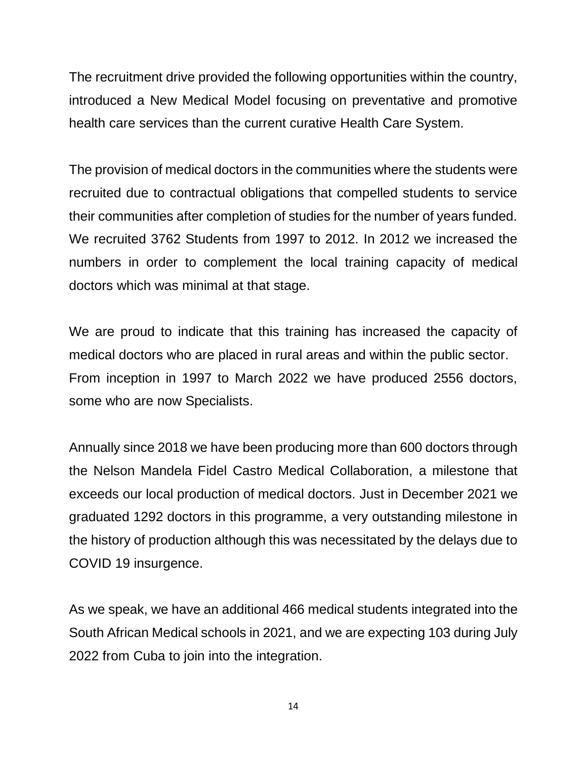The recruitment drive provided the following opportunities within the country, introduced a New Medical Model focusing on preventative and promotive health care services than the current curative Health Care System.

The provision of medical doctors in the communities where the students were recruited due to contractual obligations that compelled students to service their communities after completion of studies for the number of years funded. We recruited 3762 Students from 1997 to 2012. In 2012 we increased the numbers in order to complement the local training capacity of medical doctors which was minimal at that stage.

We are proud to indicate that this training has increased the capacity of medical doctors who are placed in rural areas and within the public sector. From inception in 1997 to March 2022 we have produced 2556 doctors, some who are now Specialists.

Annually since 2018 we have been producing more than 600 doctors through the Nelson Mandela Fidel Castro Medical Collaboration, a milestone that exceeds our local production of medical doctors. Just in December 2021 we graduated 1292 doctors in this programme, a very outstanding milestone in the history of production although this was necessitated by the delays due to COVID 19 insurgence.

As we speak, we have an additional 466 medical students integrated into the South African Medical schools in 2021, and we are expecting 103 during July 2022 from Cuba to join into the integration.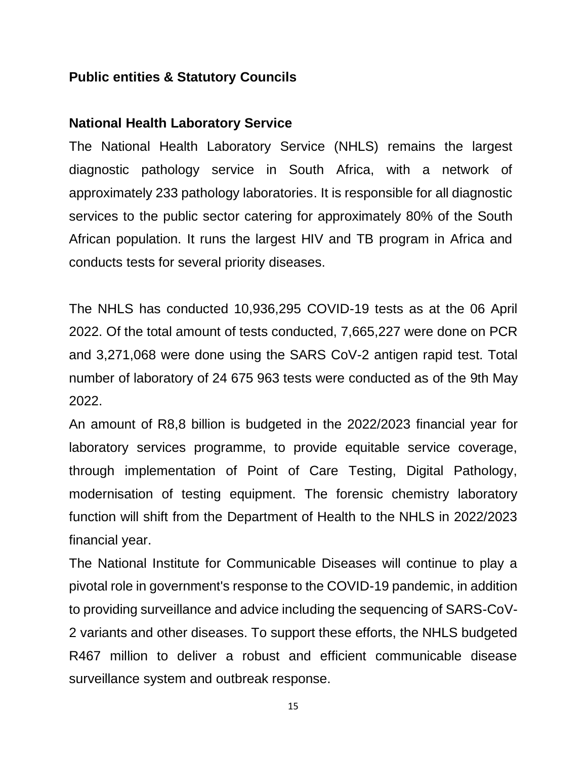#### **Public entities & Statutory Councils**

#### **National Health Laboratory Service**

The National Health Laboratory Service (NHLS) remains the largest diagnostic pathology service in South Africa, with a network of approximately 233 pathology laboratories. It is responsible for all diagnostic services to the public sector catering for approximately 80% of the South African population. It runs the largest HIV and TB program in Africa and conducts tests for several priority diseases.

The NHLS has conducted 10,936,295 COVID-19 tests as at the 06 April 2022. Of the total amount of tests conducted, 7,665,227 were done on PCR and 3,271,068 were done using the SARS CoV-2 antigen rapid test. Total number of laboratory of 24 675 963 tests were conducted as of the 9th May 2022.

An amount of R8,8 billion is budgeted in the 2022/2023 financial year for laboratory services programme, to provide equitable service coverage, through implementation of Point of Care Testing, Digital Pathology, modernisation of testing equipment. The forensic chemistry laboratory function will shift from the Department of Health to the NHLS in 2022/2023 financial year.

The National Institute for Communicable Diseases will continue to play a pivotal role in government's response to the COVID-19 pandemic, in addition to providing surveillance and advice including the sequencing of SARS-CoV-2 variants and other diseases. To support these efforts, the NHLS budgeted R467 million to deliver a robust and efficient communicable disease surveillance system and outbreak response.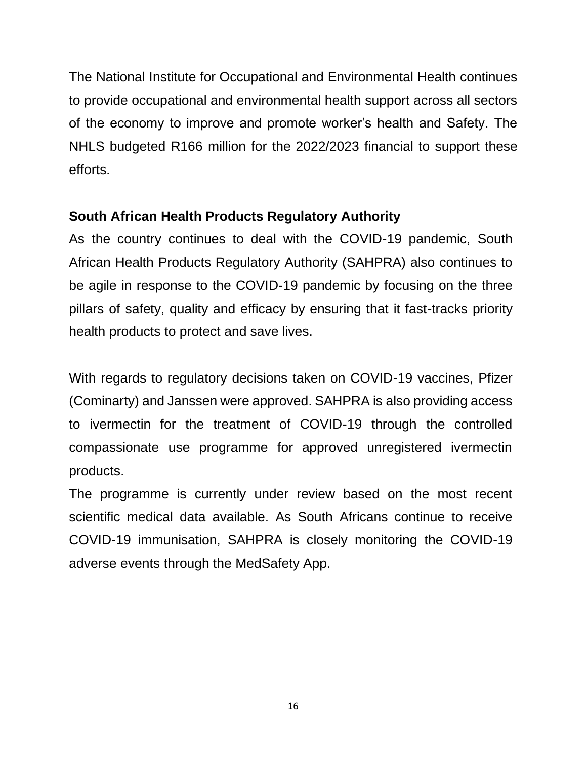The National Institute for Occupational and Environmental Health continues to provide occupational and environmental health support across all sectors of the economy to improve and promote worker's health and Safety. The NHLS budgeted R166 million for the 2022/2023 financial to support these efforts.

#### **South African Health Products Regulatory Authority**

As the country continues to deal with the COVID-19 pandemic, South African Health Products Regulatory Authority (SAHPRA) also continues to be agile in response to the COVID-19 pandemic by focusing on the three pillars of safety, quality and efficacy by ensuring that it fast-tracks priority health products to protect and save lives.

With regards to regulatory decisions taken on COVID-19 vaccines, Pfizer (Cominarty) and Janssen were approved. SAHPRA is also providing access to ivermectin for the treatment of COVID-19 through the controlled compassionate use programme for approved unregistered ivermectin products.

The programme is currently under review based on the most recent scientific medical data available. As South Africans continue to receive COVID-19 immunisation, SAHPRA is closely monitoring the COVID-19 adverse events through the MedSafety App.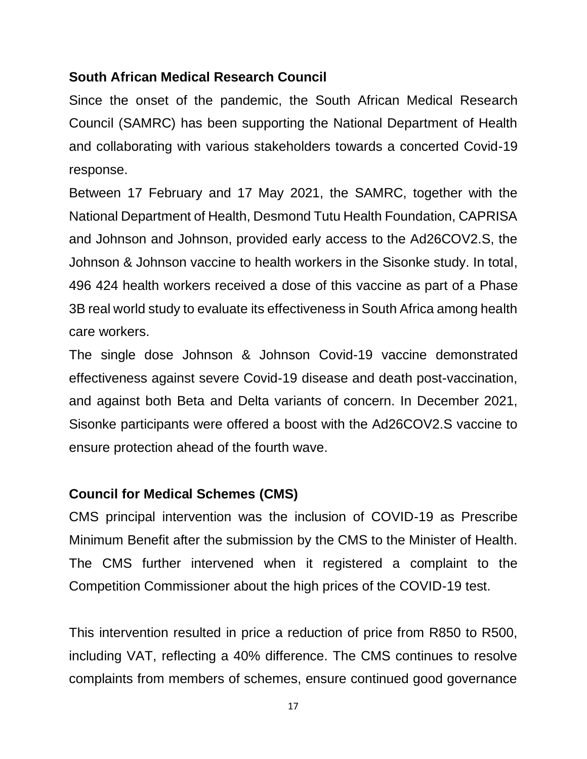#### **South African Medical Research Council**

Since the onset of the pandemic, the South African Medical Research Council (SAMRC) has been supporting the National Department of Health and collaborating with various stakeholders towards a concerted Covid-19 response.

Between 17 February and 17 May 2021, the SAMRC, together with the National Department of Health, Desmond Tutu Health Foundation, CAPRISA and Johnson and Johnson, provided early access to the Ad26COV2.S, the Johnson & Johnson vaccine to health workers in the Sisonke study. In total, 496 424 health workers received a dose of this vaccine as part of a Phase 3B real world study to evaluate its effectiveness in South Africa among health care workers.

The single dose Johnson & Johnson Covid-19 vaccine demonstrated effectiveness against severe Covid-19 disease and death post-vaccination, and against both Beta and Delta variants of concern. In December 2021, Sisonke participants were offered a boost with the Ad26COV2.S vaccine to ensure protection ahead of the fourth wave.

### **Council for Medical Schemes (CMS)**

CMS principal intervention was the inclusion of COVID-19 as Prescribe Minimum Benefit after the submission by the CMS to the Minister of Health. The CMS further intervened when it registered a complaint to the Competition Commissioner about the high prices of the COVID-19 test.

This intervention resulted in price a reduction of price from R850 to R500, including VAT, reflecting a 40% difference. The CMS continues to resolve complaints from members of schemes, ensure continued good governance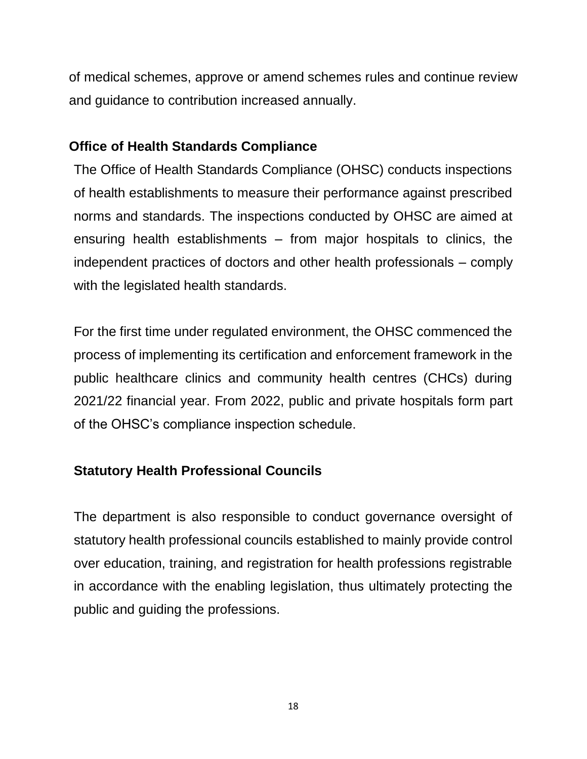of medical schemes, approve or amend schemes rules and continue review and guidance to contribution increased annually.

### **Office of Health Standards Compliance**

The Office of Health Standards Compliance (OHSC) conducts inspections of health establishments to measure their performance against prescribed norms and standards. The inspections conducted by OHSC are aimed at ensuring health establishments – from major hospitals to clinics, the independent practices of doctors and other health professionals – comply with the legislated health standards.

For the first time under regulated environment, the OHSC commenced the process of implementing its certification and enforcement framework in the public healthcare clinics and community health centres (CHCs) during 2021/22 financial year. From 2022, public and private hospitals form part of the OHSC's compliance inspection schedule.

## **Statutory Health Professional Councils**

The department is also responsible to conduct governance oversight of statutory health professional councils established to mainly provide control over education, training, and registration for health professions registrable in accordance with the enabling legislation, thus ultimately protecting the public and guiding the professions.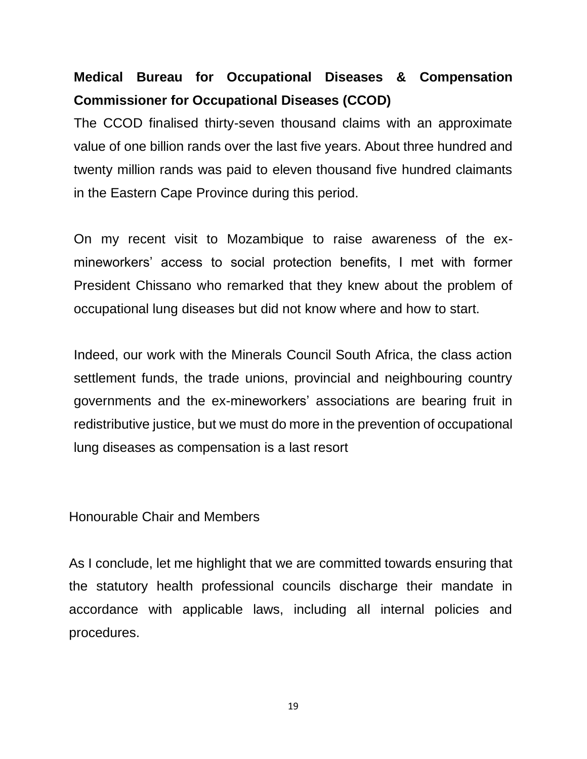# **Medical Bureau for Occupational Diseases & Compensation Commissioner for Occupational Diseases (CCOD)**

The CCOD finalised thirty-seven thousand claims with an approximate value of one billion rands over the last five years. About three hundred and twenty million rands was paid to eleven thousand five hundred claimants in the Eastern Cape Province during this period.

On my recent visit to Mozambique to raise awareness of the exmineworkers' access to social protection benefits, I met with former President Chissano who remarked that they knew about the problem of occupational lung diseases but did not know where and how to start.

Indeed, our work with the Minerals Council South Africa, the class action settlement funds, the trade unions, provincial and neighbouring country governments and the ex-mineworkers' associations are bearing fruit in redistributive justice, but we must do more in the prevention of occupational lung diseases as compensation is a last resort

Honourable Chair and Members

As I conclude, let me highlight that we are committed towards ensuring that the statutory health professional councils discharge their mandate in accordance with applicable laws, including all internal policies and procedures.